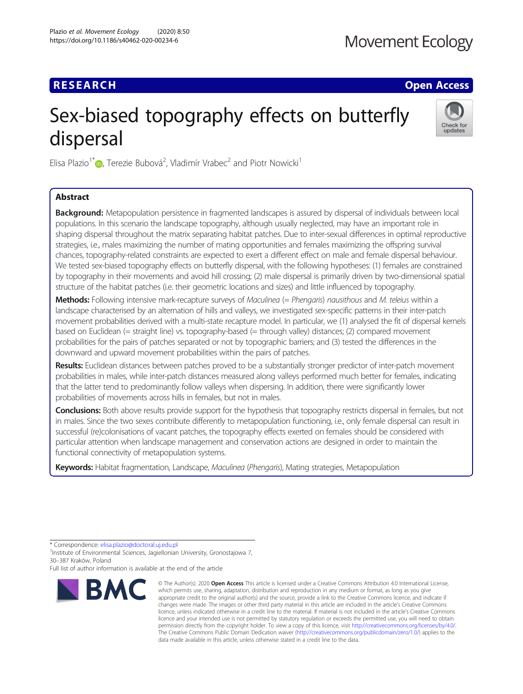## **RESEARCH CHE Open Access**

# Sex-biased topography effects on butterfly dispersal



Elisa Plazio<sup>1[\\*](http://orcid.org/0000-0002-5256-791X)</sup> (**)**, Terezie Bubová<sup>2</sup>, Vladimír Vrabec<sup>2</sup> and Piotr Nowicki<sup>1</sup>

## Abstract

**Background:** Metapopulation persistence in fragmented landscapes is assured by dispersal of individuals between local populations. In this scenario the landscape topography, although usually neglected, may have an important role in shaping dispersal throughout the matrix separating habitat patches. Due to inter-sexual differences in optimal reproductive strategies, i.e., males maximizing the number of mating opportunities and females maximizing the offspring survival chances, topography-related constraints are expected to exert a different effect on male and female dispersal behaviour. We tested sex-biased topography effects on butterfly dispersal, with the following hypotheses: (1) females are constrained by topography in their movements and avoid hill crossing; (2) male dispersal is primarily driven by two-dimensional spatial structure of the habitat patches (i.e. their geometric locations and sizes) and little influenced by topography.

Methods: Following intensive mark-recapture surveys of Maculinea (= Phengaris) nausithous and M. teleius within a landscape characterised by an alternation of hills and valleys, we investigated sex-specific patterns in their inter-patch movement probabilities derived with a multi-state recapture model. In particular, we (1) analysed the fit of dispersal kernels based on Euclidean (= straight line) vs. topography-based (= through valley) distances; (2) compared movement probabilities for the pairs of patches separated or not by topographic barriers; and (3) tested the differences in the downward and upward movement probabilities within the pairs of patches.

Results: Euclidean distances between patches proved to be a substantially stronger predictor of inter-patch movement probabilities in males, while inter-patch distances measured along valleys performed much better for females, indicating that the latter tend to predominantly follow valleys when dispersing. In addition, there were significantly lower probabilities of movements across hills in females, but not in males.

Conclusions: Both above results provide support for the hypothesis that topography restricts dispersal in females, but not in males. Since the two sexes contribute differently to metapopulation functioning, i.e., only female dispersal can result in successful (re)colonisations of vacant patches, the topography effects exerted on females should be considered with particular attention when landscape management and conservation actions are designed in order to maintain the functional connectivity of metapopulation systems.

Keywords: Habitat fragmentation, Landscape, Maculinea (Phengaris), Mating strategies, Metapopulation

Full list of author information is available at the end of the article



<sup>©</sup> The Author(s), 2020 **Open Access** This article is licensed under a Creative Commons Attribution 4.0 International License, which permits use, sharing, adaptation, distribution and reproduction in any medium or format, as long as you give appropriate credit to the original author(s) and the source, provide a link to the Creative Commons licence, and indicate if changes were made. The images or other third party material in this article are included in the article's Creative Commons licence, unless indicated otherwise in a credit line to the material. If material is not included in the article's Creative Commons licence and your intended use is not permitted by statutory regulation or exceeds the permitted use, you will need to obtain permission directly from the copyright holder. To view a copy of this licence, visit [http://creativecommons.org/licenses/by/4.0/.](http://creativecommons.org/licenses/by/4.0/) The Creative Commons Public Domain Dedication waiver [\(http://creativecommons.org/publicdomain/zero/1.0/](http://creativecommons.org/publicdomain/zero/1.0/)) applies to the data made available in this article, unless otherwise stated in a credit line to the data.

<sup>\*</sup> Correspondence: [elisa.plazio@doctoral.uj.edu.pl](mailto:elisa.plazio@doctoral.uj.edu.pl) <sup>1</sup>

<sup>&</sup>lt;sup>1</sup> Institute of Environmental Sciences, Jagiellonian University, Gronostajowa 7, 30–387 Kraków, Poland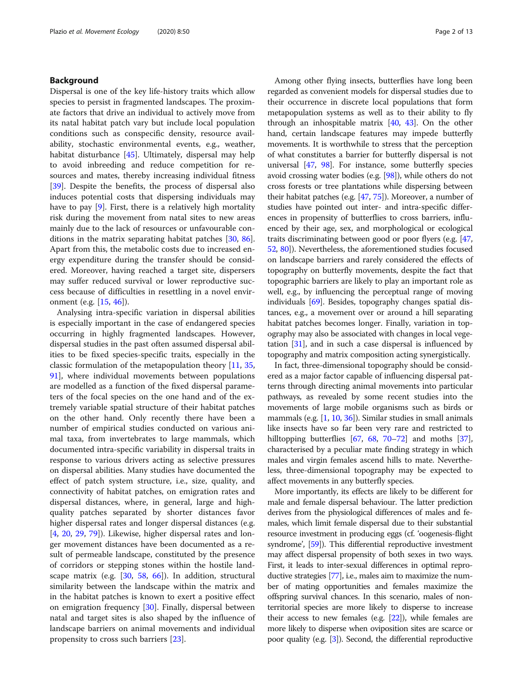## Background

Dispersal is one of the key life-history traits which allow species to persist in fragmented landscapes. The proximate factors that drive an individual to actively move from its natal habitat patch vary but include local population conditions such as conspecific density, resource availability, stochastic environmental events, e.g., weather, habitat disturbance [[45\]](#page-11-0). Ultimately, dispersal may help to avoid inbreeding and reduce competition for resources and mates, thereby increasing individual fitness [[39\]](#page-11-0). Despite the benefits, the process of dispersal also induces potential costs that dispersing individuals may have to pay [\[9](#page-11-0)]. First, there is a relatively high mortality risk during the movement from natal sites to new areas mainly due to the lack of resources or unfavourable conditions in the matrix separating habitat patches [[30,](#page-11-0) [86](#page-12-0)]. Apart from this, the metabolic costs due to increased energy expenditure during the transfer should be considered. Moreover, having reached a target site, dispersers may suffer reduced survival or lower reproductive success because of difficulties in resettling in a novel environment (e.g. [[15,](#page-11-0) [46\]](#page-11-0)).

Analysing intra-specific variation in dispersal abilities is especially important in the case of endangered species occurring in highly fragmented landscapes. However, dispersal studies in the past often assumed dispersal abilities to be fixed species-specific traits, especially in the classic formulation of the metapopulation theory [[11](#page-11-0), [35](#page-11-0), [91\]](#page-12-0), where individual movements between populations are modelled as a function of the fixed dispersal parameters of the focal species on the one hand and of the extremely variable spatial structure of their habitat patches on the other hand. Only recently there have been a number of empirical studies conducted on various animal taxa, from invertebrates to large mammals, which documented intra-specific variability in dispersal traits in response to various drivers acting as selective pressures on dispersal abilities. Many studies have documented the effect of patch system structure, i.e., size, quality, and connectivity of habitat patches, on emigration rates and dispersal distances, where, in general, large and highquality patches separated by shorter distances favor higher dispersal rates and longer dispersal distances (e.g. [[4,](#page-10-0) [20](#page-11-0), [29,](#page-11-0) [79](#page-12-0)]). Likewise, higher dispersal rates and longer movement distances have been documented as a result of permeable landscape, constituted by the presence of corridors or stepping stones within the hostile landscape matrix (e.g. [\[30,](#page-11-0) [58,](#page-12-0) [66\]](#page-12-0)). In addition, structural similarity between the landscape within the matrix and in the habitat patches is known to exert a positive effect on emigration frequency [[30\]](#page-11-0). Finally, dispersal between natal and target sites is also shaped by the influence of landscape barriers on animal movements and individual propensity to cross such barriers [[23](#page-11-0)].

Among other flying insects, butterflies have long been regarded as convenient models for dispersal studies due to their occurrence in discrete local populations that form metapopulation systems as well as to their ability to fly through an inhospitable matrix [[40](#page-11-0), [43](#page-11-0)]. On the other hand, certain landscape features may impede butterfly movements. It is worthwhile to stress that the perception of what constitutes a barrier for butterfly dispersal is not universal [[47,](#page-11-0) [98\]](#page-12-0). For instance, some butterfly species avoid crossing water bodies (e.g. [[98](#page-12-0)]), while others do not cross forests or tree plantations while dispersing between their habitat patches (e.g. [[47](#page-11-0), [75\]](#page-12-0)). Moreover, a number of studies have pointed out inter- and intra-specific differences in propensity of butterflies to cross barriers, influenced by their age, sex, and morphological or ecological traits discriminating between good or poor flyers (e.g. [[47](#page-11-0), [52](#page-11-0), [80\]](#page-12-0)). Nevertheless, the aforementioned studies focused on landscape barriers and rarely considered the effects of topography on butterfly movements, despite the fact that topographic barriers are likely to play an important role as well, e.g., by influencing the perceptual range of moving individuals [[69\]](#page-12-0). Besides, topography changes spatial distances, e.g., a movement over or around a hill separating habitat patches becomes longer. Finally, variation in topography may also be associated with changes in local vegetation  $[31]$ , and in such a case dispersal is influenced by topography and matrix composition acting synergistically.

In fact, three-dimensional topography should be considered as a major factor capable of influencing dispersal patterns through directing animal movements into particular pathways, as revealed by some recent studies into the movements of large mobile organisms such as birds or mammals (e.g. [\[1](#page-10-0), [10](#page-11-0), [36\]](#page-11-0)). Similar studies in small animals like insects have so far been very rare and restricted to hilltopping butterflies [\[67,](#page-12-0) [68,](#page-12-0) [70](#page-12-0)–[72](#page-12-0)] and moths [[37](#page-11-0)], characterised by a peculiar mate finding strategy in which males and virgin females ascend hills to mate. Nevertheless, three-dimensional topography may be expected to affect movements in any butterfly species.

More importantly, its effects are likely to be different for male and female dispersal behaviour. The latter prediction derives from the physiological differences of males and females, which limit female dispersal due to their substantial resource investment in producing eggs (cf. 'oogenesis-flight syndrome', [\[59](#page-12-0)]). This differential reproductive investment may affect dispersal propensity of both sexes in two ways. First, it leads to inter-sexual differences in optimal reproductive strategies [\[77\]](#page-12-0), i.e., males aim to maximize the number of mating opportunities and females maximize the offspring survival chances. In this scenario, males of nonterritorial species are more likely to disperse to increase their access to new females (e.g. [[22](#page-11-0)]), while females are more likely to disperse when oviposition sites are scarce or poor quality (e.g. [\[3\]](#page-10-0)). Second, the differential reproductive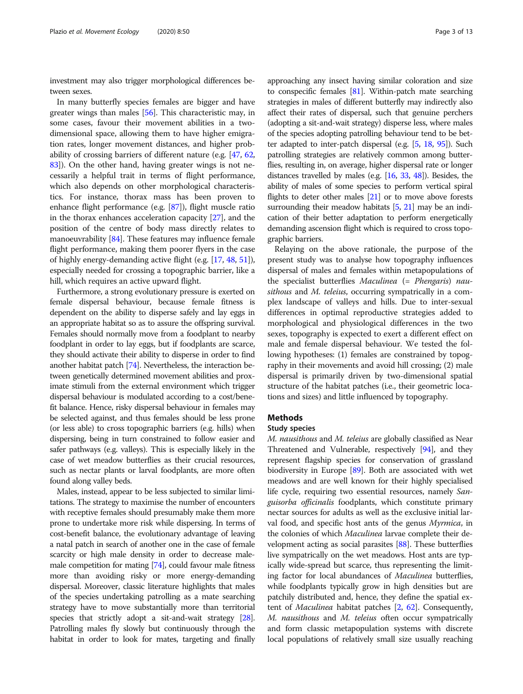investment may also trigger morphological differences between sexes.

In many butterfly species females are bigger and have greater wings than males [[56](#page-12-0)]. This characteristic may, in some cases, favour their movement abilities in a twodimensional space, allowing them to have higher emigration rates, longer movement distances, and higher probability of crossing barriers of different nature (e.g. [[47,](#page-11-0) [62](#page-12-0), [83](#page-12-0)]). On the other hand, having greater wings is not necessarily a helpful trait in terms of flight performance, which also depends on other morphological characteristics. For instance, thorax mass has been proven to enhance flight performance (e.g. [[87](#page-12-0)]), flight muscle ratio in the thorax enhances acceleration capacity [\[27\]](#page-11-0), and the position of the centre of body mass directly relates to manoeuvrability [\[84\]](#page-12-0). These features may influence female flight performance, making them poorer flyers in the case of highly energy-demanding active flight (e.g. [\[17](#page-11-0), [48,](#page-11-0) [51](#page-11-0)]), especially needed for crossing a topographic barrier, like a hill, which requires an active upward flight.

Furthermore, a strong evolutionary pressure is exerted on female dispersal behaviour, because female fitness is dependent on the ability to disperse safely and lay eggs in an appropriate habitat so as to assure the offspring survival. Females should normally move from a foodplant to nearby foodplant in order to lay eggs, but if foodplants are scarce, they should activate their ability to disperse in order to find another habitat patch [\[74\]](#page-12-0). Nevertheless, the interaction between genetically determined movement abilities and proximate stimuli from the external environment which trigger dispersal behaviour is modulated according to a cost/benefit balance. Hence, risky dispersal behaviour in females may be selected against, and thus females should be less prone (or less able) to cross topographic barriers (e.g. hills) when dispersing, being in turn constrained to follow easier and safer pathways (e.g. valleys). This is especially likely in the case of wet meadow butterflies as their crucial resources, such as nectar plants or larval foodplants, are more often found along valley beds.

Males, instead, appear to be less subjected to similar limitations. The strategy to maximise the number of encounters with receptive females should presumably make them more prone to undertake more risk while dispersing. In terms of cost-benefit balance, the evolutionary advantage of leaving a natal patch in search of another one in the case of female scarcity or high male density in order to decrease malemale competition for mating [\[74\]](#page-12-0), could favour male fitness more than avoiding risky or more energy-demanding dispersal. Moreover, classic literature highlights that males of the species undertaking patrolling as a mate searching strategy have to move substantially more than territorial species that strictly adopt a sit-and-wait strategy [\[28](#page-11-0)]. Patrolling males fly slowly but continuously through the habitat in order to look for mates, targeting and finally

approaching any insect having similar coloration and size to conspecific females [\[81\]](#page-12-0). Within-patch mate searching strategies in males of different butterfly may indirectly also affect their rates of dispersal, such that genuine perchers (adopting a sit-and-wait strategy) disperse less, where males of the species adopting patrolling behaviour tend to be better adapted to inter-patch dispersal (e.g. [\[5](#page-10-0), [18](#page-11-0), [95](#page-12-0)]). Such patrolling strategies are relatively common among butterflies, resulting in, on average, higher dispersal rate or longer distances travelled by males (e.g. [\[16,](#page-11-0) [33,](#page-11-0) [48](#page-11-0)]). Besides, the ability of males of some species to perform vertical spiral flights to deter other males  $[21]$  or to move above forests surrounding their meadow habitats [\[5,](#page-10-0) [21](#page-11-0)] may be an indication of their better adaptation to perform energetically demanding ascension flight which is required to cross topographic barriers.

Relaying on the above rationale, the purpose of the present study was to analyse how topography influences dispersal of males and females within metapopulations of the specialist butterflies Maculinea (= Phengaris) nausithous and M. teleius, occurring sympatrically in a complex landscape of valleys and hills. Due to inter-sexual differences in optimal reproductive strategies added to morphological and physiological differences in the two sexes, topography is expected to exert a different effect on male and female dispersal behaviour. We tested the following hypotheses: (1) females are constrained by topography in their movements and avoid hill crossing; (2) male dispersal is primarily driven by two-dimensional spatial structure of the habitat patches (i.e., their geometric locations and sizes) and little influenced by topography.

## Methods

## Study species

M. nausithous and M. teleius are globally classified as Near Threatened and Vulnerable, respectively [\[94](#page-12-0)], and they represent flagship species for conservation of grassland biodiversity in Europe [\[89](#page-12-0)]. Both are associated with wet meadows and are well known for their highly specialised life cycle, requiring two essential resources, namely Sanguisorba officinalis foodplants, which constitute primary nectar sources for adults as well as the exclusive initial larval food, and specific host ants of the genus Myrmica, in the colonies of which Maculinea larvae complete their development acting as social parasites [[88](#page-12-0)]. These butterflies live sympatrically on the wet meadows. Host ants are typically wide-spread but scarce, thus representing the limiting factor for local abundances of Maculinea butterflies, while foodplants typically grow in high densities but are patchily distributed and, hence, they define the spatial extent of Maculinea habitat patches [\[2,](#page-10-0) [62\]](#page-12-0). Consequently, M. nausithous and M. teleius often occur sympatrically and form classic metapopulation systems with discrete local populations of relatively small size usually reaching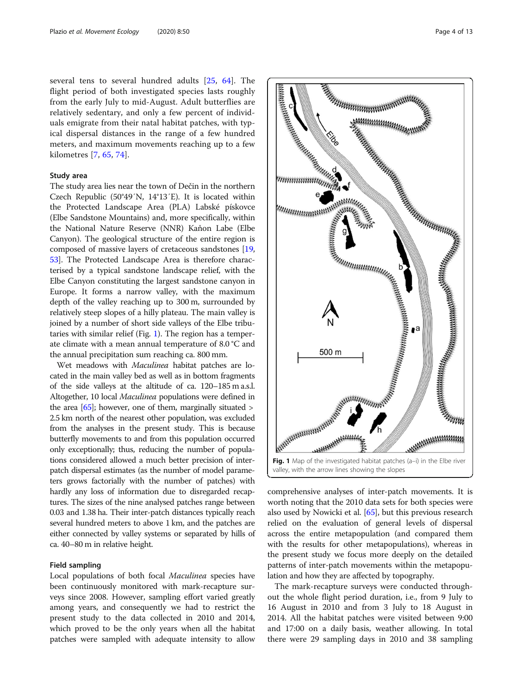several tens to several hundred adults [\[25](#page-11-0), [64](#page-12-0)]. The flight period of both investigated species lasts roughly from the early July to mid-August. Adult butterflies are relatively sedentary, and only a few percent of individuals emigrate from their natal habitat patches, with typical dispersal distances in the range of a few hundred meters, and maximum movements reaching up to a few kilometres [[7,](#page-11-0) [65,](#page-12-0) [74\]](#page-12-0).

## Study area

The study area lies near the town of Dečin in the northern Czech Republic (50°49′N, 14°13′E). It is located within the Protected Landscape Area (PLA) Labské pískovce (Elbe Sandstone Mountains) and, more specifically, within the National Nature Reserve (NNR) Kaňon Labe (Elbe Canyon). The geological structure of the entire region is composed of massive layers of cretaceous sandstones [[19](#page-11-0), [53](#page-12-0)]. The Protected Landscape Area is therefore characterised by a typical sandstone landscape relief, with the Elbe Canyon constituting the largest sandstone canyon in Europe. It forms a narrow valley, with the maximum depth of the valley reaching up to 300 m, surrounded by relatively steep slopes of a hilly plateau. The main valley is joined by a number of short side valleys of the Elbe tributaries with similar relief (Fig. 1). The region has a temperate climate with a mean annual temperature of 8.0 °C and the annual precipitation sum reaching ca. 800 mm.

Wet meadows with *Maculinea* habitat patches are located in the main valley bed as well as in bottom fragments of the side valleys at the altitude of ca. 120–185 m a.s.l. Altogether, 10 local Maculinea populations were defined in the area  $[65]$  $[65]$  $[65]$ ; however, one of them, marginally situated > 2.5 km north of the nearest other population, was excluded from the analyses in the present study. This is because butterfly movements to and from this population occurred only exceptionally; thus, reducing the number of populations considered allowed a much better precision of interpatch dispersal estimates (as the number of model parameters grows factorially with the number of patches) with hardly any loss of information due to disregarded recaptures. The sizes of the nine analysed patches range between 0.03 and 1.38 ha. Their inter-patch distances typically reach several hundred meters to above 1 km, and the patches are either connected by valley systems or separated by hills of ca. 40–80 m in relative height.

## Field sampling

Local populations of both focal Maculinea species have been continuously monitored with mark-recapture surveys since 2008. However, sampling effort varied greatly among years, and consequently we had to restrict the present study to the data collected in 2010 and 2014, which proved to be the only years when all the habitat patches were sampled with adequate intensity to allow



comprehensive analyses of inter-patch movements. It is worth noting that the 2010 data sets for both species were also used by Nowicki et al. [\[65](#page-12-0)], but this previous research relied on the evaluation of general levels of dispersal across the entire metapopulation (and compared them with the results for other metapopulations), whereas in the present study we focus more deeply on the detailed patterns of inter-patch movements within the metapopulation and how they are affected by topography.

The mark-recapture surveys were conducted throughout the whole flight period duration, i.e., from 9 July to 16 August in 2010 and from 3 July to 18 August in 2014. All the habitat patches were visited between 9:00 and 17:00 on a daily basis, weather allowing. In total there were 29 sampling days in 2010 and 38 sampling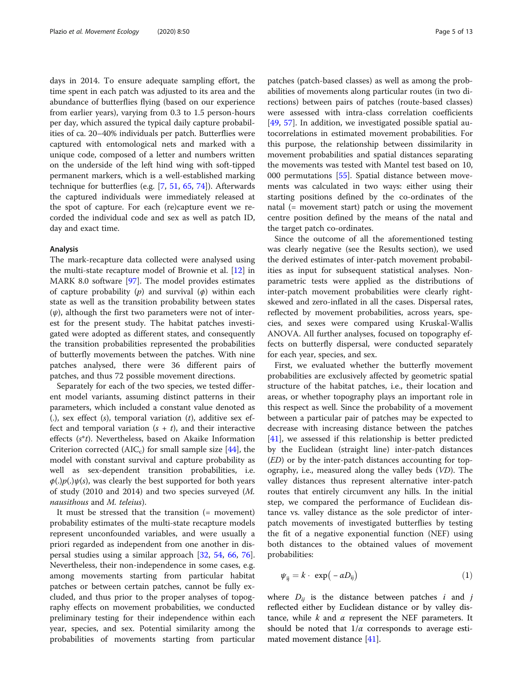days in 2014. To ensure adequate sampling effort, the time spent in each patch was adjusted to its area and the abundance of butterflies flying (based on our experience from earlier years), varying from 0.3 to 1.5 person-hours per day, which assured the typical daily capture probabilities of ca. 20–40% individuals per patch. Butterflies were captured with entomological nets and marked with a unique code, composed of a letter and numbers written on the underside of the left hind wing with soft-tipped permanent markers, which is a well-established marking technique for butterflies (e.g. [[7,](#page-11-0) [51](#page-11-0), [65](#page-12-0), [74\]](#page-12-0)). Afterwards the captured individuals were immediately released at the spot of capture. For each (re)capture event we recorded the individual code and sex as well as patch ID, day and exact time.

## Analysis

The mark-recapture data collected were analysed using the multi-state recapture model of Brownie et al. [\[12](#page-11-0)] in MARK 8.0 software [\[97\]](#page-12-0). The model provides estimates of capture probability  $(p)$  and survival  $(p)$  within each state as well as the transition probability between states  $(\psi)$ , although the first two parameters were not of interest for the present study. The habitat patches investigated were adopted as different states, and consequently the transition probabilities represented the probabilities of butterfly movements between the patches. With nine patches analysed, there were 36 different pairs of patches, and thus 72 possible movement directions.

Separately for each of the two species, we tested different model variants, assuming distinct patterns in their parameters, which included a constant value denoted as (.), sex effect (s), temporal variation  $(t)$ , additive sex effect and temporal variation  $(s + t)$ , and their interactive effects (s\*t). Nevertheless, based on Akaike Information Criterion corrected  $(AIC_c)$  for small sample size  $[44]$  $[44]$  $[44]$ , the model with constant survival and capture probability as well as sex-dependent transition probabilities, i.e.  $\phi(.)p(.)\psi(s)$ , was clearly the best supported for both years of study (2010 and 2014) and two species surveyed (M. nausithous and M. teleius).

It must be stressed that the transition (= movement) probability estimates of the multi-state recapture models represent unconfounded variables, and were usually a priori regarded as independent from one another in dispersal studies using a similar approach [[32](#page-11-0), [54](#page-12-0), [66](#page-12-0), [76](#page-12-0)]. Nevertheless, their non-independence in some cases, e.g. among movements starting from particular habitat patches or between certain patches, cannot be fully excluded, and thus prior to the proper analyses of topography effects on movement probabilities, we conducted preliminary testing for their independence within each year, species, and sex. Potential similarity among the probabilities of movements starting from particular patches (patch-based classes) as well as among the probabilities of movements along particular routes (in two directions) between pairs of patches (route-based classes) were assessed with intra-class correlation coefficients [[49,](#page-11-0) [57](#page-12-0)]. In addition, we investigated possible spatial autocorrelations in estimated movement probabilities. For this purpose, the relationship between dissimilarity in movement probabilities and spatial distances separating the movements was tested with Mantel test based on 10, 000 permutations [[55\]](#page-12-0). Spatial distance between movements was calculated in two ways: either using their starting positions defined by the co-ordinates of the natal (= movement start) patch or using the movement centre position defined by the means of the natal and the target patch co-ordinates.

Since the outcome of all the aforementioned testing was clearly negative (see the Results section), we used the derived estimates of inter-patch movement probabilities as input for subsequent statistical analyses. Nonparametric tests were applied as the distributions of inter-patch movement probabilities were clearly rightskewed and zero-inflated in all the cases. Dispersal rates, reflected by movement probabilities, across years, species, and sexes were compared using Kruskal-Wallis ANOVA. All further analyses, focused on topography effects on butterfly dispersal, were conducted separately for each year, species, and sex.

First, we evaluated whether the butterfly movement probabilities are exclusively affected by geometric spatial structure of the habitat patches, i.e., their location and areas, or whether topography plays an important role in this respect as well. Since the probability of a movement between a particular pair of patches may be expected to decrease with increasing distance between the patches [[41\]](#page-11-0), we assessed if this relationship is better predicted by the Euclidean (straight line) inter-patch distances (ED) or by the inter-patch distances accounting for topography, i.e., measured along the valley beds (VD). The valley distances thus represent alternative inter-patch routes that entirely circumvent any hills. In the initial step, we compared the performance of Euclidean distance vs. valley distance as the sole predictor of interpatch movements of investigated butterflies by testing the fit of a negative exponential function (NEF) using both distances to the obtained values of movement probabilities:

$$
\psi_{ij} = k \cdot \exp(-\alpha D_{ij}) \tag{1}
$$

where  $D_{ij}$  is the distance between patches *i* and *j* reflected either by Euclidean distance or by valley distance, while  $k$  and  $\alpha$  represent the NEF parameters. It should be noted that  $1/\alpha$  corresponds to average estimated movement distance [[41\]](#page-11-0).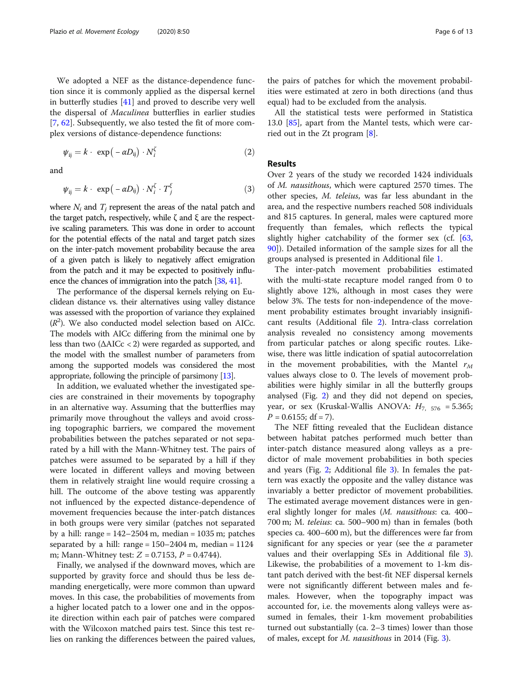We adopted a NEF as the distance-dependence function since it is commonly applied as the dispersal kernel in butterfly studies [\[41](#page-11-0)] and proved to describe very well the dispersal of Maculinea butterflies in earlier studies [[7,](#page-11-0) [62\]](#page-12-0). Subsequently, we also tested the fit of more complex versions of distance-dependence functions:

$$
\psi_{ij} = k \cdot \exp(-\alpha D_{ij}) \cdot N_i^{\zeta} \tag{2}
$$

and

$$
\psi_{ij} = k \cdot \exp(-\alpha D_{ij}) \cdot N_i^{\zeta} \cdot T_j^{\zeta}
$$
 (3)

where  $N_i$  and  $T_i$  represent the areas of the natal patch and the target patch, respectively, while ζ and ξ are the respective scaling parameters. This was done in order to account for the potential effects of the natal and target patch sizes on the inter-patch movement probability because the area of a given patch is likely to negatively affect emigration from the patch and it may be expected to positively influ-ence the chances of immigration into the patch [\[38,](#page-11-0) [41\]](#page-11-0).

The performance of the dispersal kernels relying on Euclidean distance vs. their alternatives using valley distance was assessed with the proportion of variance they explained  $(R<sup>2</sup>)$ . We also conducted model selection based on AICc.<br>The models with AICc differing from the minimal one by The models with AICc differing from the minimal one by less than two  $(\Delta AICc < 2)$  were regarded as supported, and the model with the smallest number of parameters from among the supported models was considered the most appropriate, following the principle of parsimony [[13](#page-11-0)].

In addition, we evaluated whether the investigated species are constrained in their movements by topography in an alternative way. Assuming that the butterflies may primarily move throughout the valleys and avoid crossing topographic barriers, we compared the movement probabilities between the patches separated or not separated by a hill with the Mann-Whitney test. The pairs of patches were assumed to be separated by a hill if they were located in different valleys and moving between them in relatively straight line would require crossing a hill. The outcome of the above testing was apparently not influenced by the expected distance-dependence of movement frequencies because the inter-patch distances in both groups were very similar (patches not separated by a hill: range =  $142-2504$  m, median =  $1035$  m; patches separated by a hill: range =  $150-2404$  m, median =  $1124$ m; Mann-Whitney test:  $Z = 0.7153$ ,  $P = 0.4744$ ).

Finally, we analysed if the downward moves, which are supported by gravity force and should thus be less demanding energetically, were more common than upward moves. In this case, the probabilities of movements from a higher located patch to a lower one and in the opposite direction within each pair of patches were compared with the Wilcoxon matched pairs test. Since this test relies on ranking the differences between the paired values,

the pairs of patches for which the movement probabilities were estimated at zero in both directions (and thus equal) had to be excluded from the analysis.

All the statistical tests were performed in Statistica 13.0 [[85\]](#page-12-0), apart from the Mantel tests, which were carried out in the Zt program [\[8](#page-11-0)].

## Results

Over 2 years of the study we recorded 1424 individuals of M. nausithous, which were captured 2570 times. The other species, M. teleius, was far less abundant in the area, and the respective numbers reached 508 individuals and 815 captures. In general, males were captured more frequently than females, which reflects the typical slightly higher catchability of the former sex (cf. [[63](#page-12-0), [90\]](#page-12-0)). Detailed information of the sample sizes for all the groups analysed is presented in Additional file [1](#page-10-0).

The inter-patch movement probabilities estimated with the multi-state recapture model ranged from 0 to slightly above 12%, although in most cases they were below 3%. The tests for non-independence of the movement probability estimates brought invariably insignificant results (Additional file [2](#page-10-0)). Intra-class correlation analysis revealed no consistency among movements from particular patches or along specific routes. Likewise, there was little indication of spatial autocorrelation in the movement probabilities, with the Mantel  $r_M$ values always close to 0. The levels of movement probabilities were highly similar in all the butterfly groups analysed (Fig. [2\)](#page-6-0) and they did not depend on species, year, or sex (Kruskal-Wallis ANOVA:  $H_{7, 576} = 5.365$ ;  $P = 0.6155$ ; df = 7).

The NEF fitting revealed that the Euclidean distance between habitat patches performed much better than inter-patch distance measured along valleys as a predictor of male movement probabilities in both species and years (Fig. [2;](#page-6-0) Additional file [3](#page-10-0)). In females the pattern was exactly the opposite and the valley distance was invariably a better predictor of movement probabilities. The estimated average movement distances were in general slightly longer for males (M. nausithous: ca. 400– 700 m; M. teleius: ca. 500–900 m) than in females (both species ca. 400–600 m), but the differences were far from significant for any species or year (see the  $\alpha$  parameter values and their overlapping SEs in Additional file [3](#page-10-0)). Likewise, the probabilities of a movement to 1-km distant patch derived with the best-fit NEF dispersal kernels were not significantly different between males and females. However, when the topography impact was accounted for, i.e. the movements along valleys were assumed in females, their 1-km movement probabilities turned out substantially (ca. 2–3 times) lower than those of males, except for M. nausithous in 2014 (Fig. [3](#page-7-0)).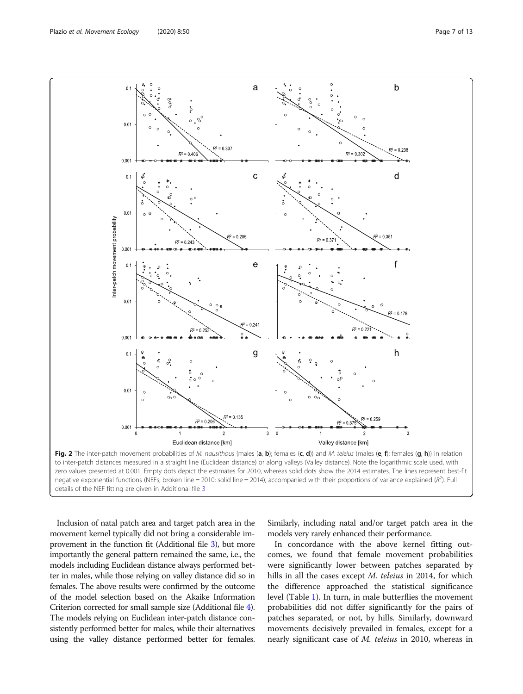<span id="page-6-0"></span>

to inter-patch distances measured in a straight line (Euclidean distance) or along valleys (Valley distance). Note the logarithmic scale used, with zero values presented at 0.001. Empty dots depict the estimates for 2010, whereas solid dots show the 2014 estimates. The lines represent best-fit negative exponential functions (NEFs; broken line = 2010; solid line = 2014), accompanied with their proportions of variance explained (R<sup>2</sup>). Full details of the NEF fitting are given in Additional file [3](#page-10-0)

Inclusion of natal patch area and target patch area in the movement kernel typically did not bring a considerable improvement in the function fit (Additional file [3\)](#page-10-0), but more importantly the general pattern remained the same, i.e., the models including Euclidean distance always performed better in males, while those relying on valley distance did so in females. The above results were confirmed by the outcome of the model selection based on the Akaike Information Criterion corrected for small sample size (Additional file [4](#page-10-0)). The models relying on Euclidean inter-patch distance consistently performed better for males, while their alternatives using the valley distance performed better for females. Similarly, including natal and/or target patch area in the models very rarely enhanced their performance.

In concordance with the above kernel fitting outcomes, we found that female movement probabilities were significantly lower between patches separated by hills in all the cases except M. teleius in 2014, for which the difference approached the statistical significance level (Table [1\)](#page-7-0). In turn, in male butterflies the movement probabilities did not differ significantly for the pairs of patches separated, or not, by hills. Similarly, downward movements decisively prevailed in females, except for a nearly significant case of M. teleius in 2010, whereas in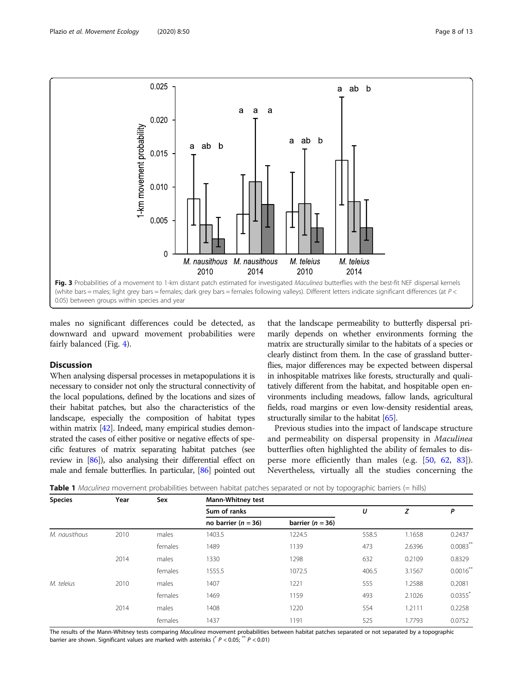<span id="page-7-0"></span>

males no significant differences could be detected, as downward and upward movement probabilities were fairly balanced (Fig. [4](#page-8-0)).

## **Discussion**

When analysing dispersal processes in metapopulations it is necessary to consider not only the structural connectivity of the local populations, defined by the locations and sizes of their habitat patches, but also the characteristics of the landscape, especially the composition of habitat types within matrix [\[42\]](#page-11-0). Indeed, many empirical studies demonstrated the cases of either positive or negative effects of specific features of matrix separating habitat patches (see review in [\[86\]](#page-12-0)), also analysing their differential effect on male and female butterflies. In particular, [\[86\]](#page-12-0) pointed out

that the landscape permeability to butterfly dispersal primarily depends on whether environments forming the matrix are structurally similar to the habitats of a species or clearly distinct from them. In the case of grassland butterflies, major differences may be expected between dispersal in inhospitable matrixes like forests, structurally and qualitatively different from the habitat, and hospitable open environments including meadows, fallow lands, agricultural fields, road margins or even low-density residential areas, structurally similar to the habitat [\[65\]](#page-12-0).

Previous studies into the impact of landscape structure and permeability on dispersal propensity in Maculinea butterflies often highlighted the ability of females to disperse more efficiently than males (e.g. [\[50](#page-11-0), [62](#page-12-0), [83](#page-12-0)]). Nevertheless, virtually all the studies concerning the

|  | Table 1 Maculinea movement probabilities between habitat patches separated or not by topographic barriers (= hills) |  |  |  |  |
|--|---------------------------------------------------------------------------------------------------------------------|--|--|--|--|
|  |                                                                                                                     |  |  |  |  |

| <b>Species</b> | Year | Sex     | <b>Mann-Whitney test</b> |                      |       |        |                       |  |  |
|----------------|------|---------|--------------------------|----------------------|-------|--------|-----------------------|--|--|
|                |      |         | Sum of ranks             |                      | U     | z      | Ρ                     |  |  |
|                |      |         | no barrier ( $n = 36$ )  | barrier ( $n = 36$ ) |       |        |                       |  |  |
| M. nausithous  | 2010 | males   | 1403.5                   | 1224.5               | 558.5 | 1.1658 | 0.2437                |  |  |
|                |      | females | 1489                     | 1139                 | 473   | 2.6396 | $0.0083***$           |  |  |
|                | 2014 | males   | 1330                     | 1298                 | 632   | 0.2109 | 0.8329                |  |  |
|                |      | females | 1555.5                   | 1072.5               | 406.5 | 3.1567 | $0.0016$ **           |  |  |
| M. teleius     | 2010 | males   | 1407                     | 1221                 | 555   | 1.2588 | 0.2081                |  |  |
|                |      | females | 1469                     | 1159                 | 493   | 2.1026 | $0.0355$ <sup>*</sup> |  |  |
|                | 2014 | males   | 1408                     | 1220                 | 554   | 1.2111 | 0.2258                |  |  |
|                |      | females | 1437                     | 1191                 | 525   | 1.7793 | 0.0752                |  |  |

The results of the Mann-Whitney tests comparing Maculinea movement probabilities between habitat patches separated or not separated by a topographic barrier are shown. Significant values are marked with asterisks  $(7 P < 0.05;$  \*\*  $P < 0.01$ )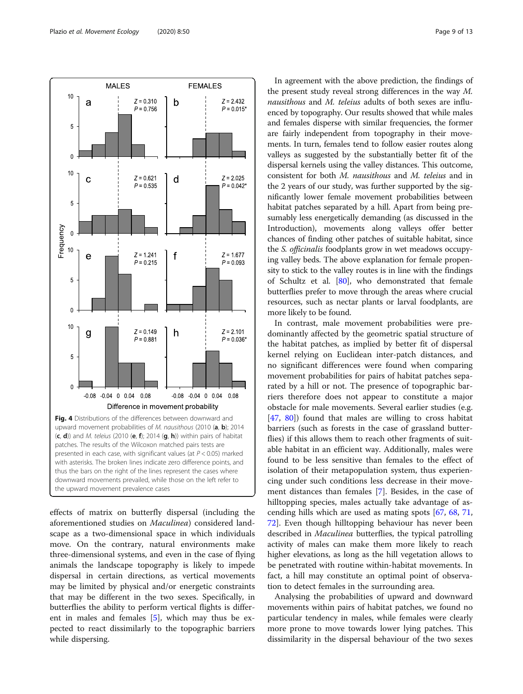<span id="page-8-0"></span>

effects of matrix on butterfly dispersal (including the aforementioned studies on Maculinea) considered landscape as a two-dimensional space in which individuals move. On the contrary, natural environments make three-dimensional systems, and even in the case of flying animals the landscape topography is likely to impede dispersal in certain directions, as vertical movements may be limited by physical and/or energetic constraints that may be different in the two sexes. Specifically, in butterflies the ability to perform vertical flights is different in males and females [\[5](#page-10-0)], which may thus be expected to react dissimilarly to the topographic barriers while dispersing.

In agreement with the above prediction, the findings of the present study reveal strong differences in the way M. nausithous and M. teleius adults of both sexes are influenced by topography. Our results showed that while males and females disperse with similar frequencies, the former are fairly independent from topography in their movements. In turn, females tend to follow easier routes along valleys as suggested by the substantially better fit of the dispersal kernels using the valley distances. This outcome, consistent for both M. nausithous and M. teleius and in the 2 years of our study, was further supported by the significantly lower female movement probabilities between habitat patches separated by a hill. Apart from being presumably less energetically demanding (as discussed in the Introduction), movements along valleys offer better chances of finding other patches of suitable habitat, since the S. officinalis foodplants grow in wet meadows occupying valley beds. The above explanation for female propensity to stick to the valley routes is in line with the findings of Schultz et al. [\[80](#page-12-0)], who demonstrated that female butterflies prefer to move through the areas where crucial resources, such as nectar plants or larval foodplants, are more likely to be found.

In contrast, male movement probabilities were predominantly affected by the geometric spatial structure of the habitat patches, as implied by better fit of dispersal kernel relying on Euclidean inter-patch distances, and no significant differences were found when comparing movement probabilities for pairs of habitat patches separated by a hill or not. The presence of topographic barriers therefore does not appear to constitute a major obstacle for male movements. Several earlier studies (e.g. [[47,](#page-11-0) [80](#page-12-0)]) found that males are willing to cross habitat barriers (such as forests in the case of grassland butterflies) if this allows them to reach other fragments of suitable habitat in an efficient way. Additionally, males were found to be less sensitive than females to the effect of isolation of their metapopulation system, thus experiencing under such conditions less decrease in their movement distances than females [[7\]](#page-11-0). Besides, in the case of hilltopping species, males actually take advantage of ascending hills which are used as mating spots [\[67,](#page-12-0) [68](#page-12-0), [71](#page-12-0), [72\]](#page-12-0). Even though hilltopping behaviour has never been described in Maculinea butterflies, the typical patrolling activity of males can make them more likely to reach higher elevations, as long as the hill vegetation allows to be penetrated with routine within-habitat movements. In fact, a hill may constitute an optimal point of observation to detect females in the surrounding area.

Analysing the probabilities of upward and downward movements within pairs of habitat patches, we found no particular tendency in males, while females were clearly more prone to move towards lower lying patches. This dissimilarity in the dispersal behaviour of the two sexes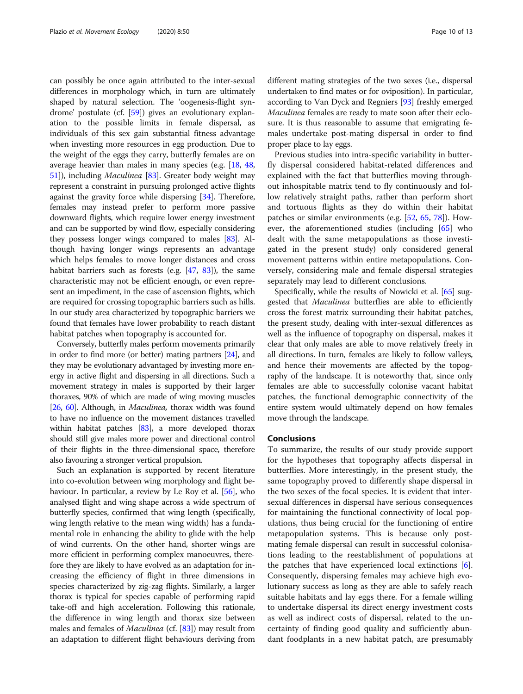can possibly be once again attributed to the inter-sexual differences in morphology which, in turn are ultimately shaped by natural selection. The 'oogenesis-flight syndrome' postulate (cf. [\[59\]](#page-12-0)) gives an evolutionary explanation to the possible limits in female dispersal, as individuals of this sex gain substantial fitness advantage when investing more resources in egg production. Due to the weight of the eggs they carry, butterfly females are on average heavier than males in many species (e.g. [\[18,](#page-11-0) [48](#page-11-0), [51](#page-11-0)]), including Maculinea [[83](#page-12-0)]. Greater body weight may represent a constraint in pursuing prolonged active flights against the gravity force while dispersing [\[34](#page-11-0)]. Therefore, females may instead prefer to perform more passive downward flights, which require lower energy investment and can be supported by wind flow, especially considering they possess longer wings compared to males [\[83\]](#page-12-0). Although having longer wings represents an advantage which helps females to move longer distances and cross habitat barriers such as forests (e.g. [\[47,](#page-11-0) [83](#page-12-0)]), the same characteristic may not be efficient enough, or even represent an impediment, in the case of ascension flights, which are required for crossing topographic barriers such as hills. In our study area characterized by topographic barriers we found that females have lower probability to reach distant habitat patches when topography is accounted for.

Conversely, butterfly males perform movements primarily in order to find more (or better) mating partners [\[24\]](#page-11-0), and they may be evolutionary advantaged by investing more energy in active flight and dispersing in all directions. Such a movement strategy in males is supported by their larger thoraxes, 90% of which are made of wing moving muscles [[26](#page-11-0), [60](#page-12-0)]. Although, in *Maculinea*, thorax width was found to have no influence on the movement distances travelled within habitat patches [\[83\]](#page-12-0), a more developed thorax should still give males more power and directional control of their flights in the three-dimensional space, therefore also favouring a stronger vertical propulsion.

Such an explanation is supported by recent literature into co-evolution between wing morphology and flight behaviour. In particular, a review by Le Roy et al. [\[56\]](#page-12-0), who analysed flight and wing shape across a wide spectrum of butterfly species, confirmed that wing length (specifically, wing length relative to the mean wing width) has a fundamental role in enhancing the ability to glide with the help of wind currents. On the other hand, shorter wings are more efficient in performing complex manoeuvres, therefore they are likely to have evolved as an adaptation for increasing the efficiency of flight in three dimensions in species characterized by zig-zag flights. Similarly, a larger thorax is typical for species capable of performing rapid take-off and high acceleration. Following this rationale, the difference in wing length and thorax size between males and females of *Maculinea* (cf. [\[83](#page-12-0)]) may result from an adaptation to different flight behaviours deriving from

different mating strategies of the two sexes (i.e., dispersal undertaken to find mates or for oviposition). In particular, according to Van Dyck and Regniers [\[93\]](#page-12-0) freshly emerged Maculinea females are ready to mate soon after their eclosure. It is thus reasonable to assume that emigrating females undertake post-mating dispersal in order to find proper place to lay eggs.

Previous studies into intra-specific variability in butterfly dispersal considered habitat-related differences and explained with the fact that butterflies moving throughout inhospitable matrix tend to fly continuously and follow relatively straight paths, rather than perform short and tortuous flights as they do within their habitat patches or similar environments (e.g. [[52](#page-11-0), [65,](#page-12-0) [78\]](#page-12-0)). However, the aforementioned studies (including [[65](#page-12-0)] who dealt with the same metapopulations as those investigated in the present study) only considered general movement patterns within entire metapopulations. Conversely, considering male and female dispersal strategies separately may lead to different conclusions.

Specifically, while the results of Nowicki et al. [\[65](#page-12-0)] suggested that Maculinea butterflies are able to efficiently cross the forest matrix surrounding their habitat patches, the present study, dealing with inter-sexual differences as well as the influence of topography on dispersal, makes it clear that only males are able to move relatively freely in all directions. In turn, females are likely to follow valleys, and hence their movements are affected by the topography of the landscape. It is noteworthy that, since only females are able to successfully colonise vacant habitat patches, the functional demographic connectivity of the entire system would ultimately depend on how females move through the landscape.

## Conclusions

To summarize, the results of our study provide support for the hypotheses that topography affects dispersal in butterflies. More interestingly, in the present study, the same topography proved to differently shape dispersal in the two sexes of the focal species. It is evident that intersexual differences in dispersal have serious consequences for maintaining the functional connectivity of local populations, thus being crucial for the functioning of entire metapopulation systems. This is because only postmating female dispersal can result in successful colonisations leading to the reestablishment of populations at the patches that have experienced local extinctions  $[6]$  $[6]$ . Consequently, dispersing females may achieve high evolutionary success as long as they are able to safely reach suitable habitats and lay eggs there. For a female willing to undertake dispersal its direct energy investment costs as well as indirect costs of dispersal, related to the uncertainty of finding good quality and sufficiently abundant foodplants in a new habitat patch, are presumably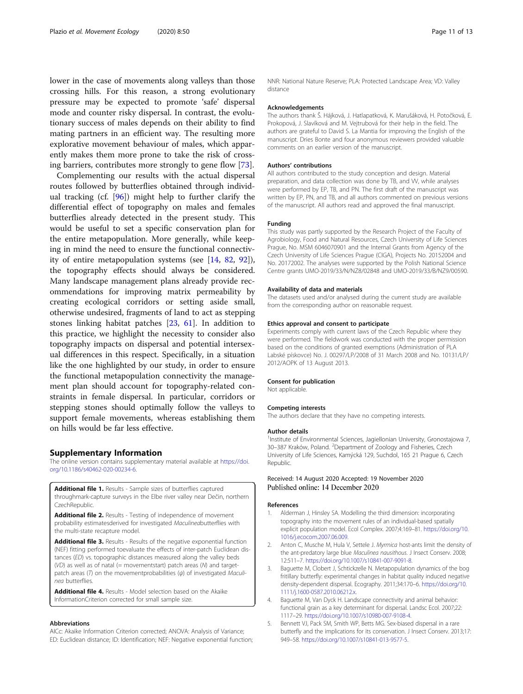<span id="page-10-0"></span>lower in the case of movements along valleys than those crossing hills. For this reason, a strong evolutionary pressure may be expected to promote 'safe' dispersal mode and counter risky dispersal. In contrast, the evolutionary success of males depends on their ability to find mating partners in an efficient way. The resulting more explorative movement behaviour of males, which apparently makes them more prone to take the risk of crossing barriers, contributes more strongly to gene flow [\[73](#page-12-0)].

Complementing our results with the actual dispersal routes followed by butterflies obtained through individual tracking (cf. [\[96](#page-12-0)]) might help to further clarify the differential effect of topography on males and females butterflies already detected in the present study. This would be useful to set a specific conservation plan for the entire metapopulation. More generally, while keeping in mind the need to ensure the functional connectivity of entire metapopulation systems (see [\[14](#page-11-0), [82,](#page-12-0) [92](#page-12-0)]), the topography effects should always be considered. Many landscape management plans already provide recommendations for improving matrix permeability by creating ecological corridors or setting aside small, otherwise undesired, fragments of land to act as stepping stones linking habitat patches [[23](#page-11-0), [61](#page-12-0)]. In addition to this practice, we highlight the necessity to consider also topography impacts on dispersal and potential intersexual differences in this respect. Specifically, in a situation like the one highlighted by our study, in order to ensure the functional metapopulation connectivity the management plan should account for topography-related constraints in female dispersal. In particular, corridors or stepping stones should optimally follow the valleys to support female movements, whereas establishing them on hills would be far less effective.

## Supplementary Information

The online version contains supplementary material available at [https://doi.](https://doi.org/10.1186/s40462-020-00234-6) [org/10.1186/s40462-020-00234-6.](https://doi.org/10.1186/s40462-020-00234-6)

Additional file 1. Results - Sample sizes of butterflies captured throughmark-capture surveys in the Elbe river valley near Dečin, northern CzechRepublic.

Additional file 2. Results - Testing of independence of movement probability estimatesderived for investigated Maculineabutterflies with the multi-state recapture model.

Additional file 3. Results - Results of the negative exponential function (NEF) fitting performed toevaluate the effects of inter-patch Euclidean distances (ED) vs. topographic distances measured along the valley beds (VD) as well as of natal (= movementstart) patch areas (N) and targetpatch areas (T) on the movementprobabilities  $(\psi)$  of investigated Maculinea butterflies.

Additional file 4. Results - Model selection based on the Akaike InformationCriterion corrected for small sample size.

#### Abbreviations

AICc: Akaike Information Criterion corrected; ANOVA: Analysis of Variance; ED: Euclidean distance; ID: Identification; NEF: Negative exponential function; NNR: National Nature Reserve; PLA: Protected Landscape Area; VD: Valley distance

#### Acknowledgements

The authors thank Š. Hájková, J. Hatlapatková, K. Marušáková, H. Potočková, E. Prokopová, J. Slavíková and M. Vejtrubová for their help in the field. The authors are grateful to David S. La Mantia for improving the English of the manuscript. Dries Bonte and four anonymous reviewers provided valuable comments on an earlier version of the manuscript.

#### Authors' contributions

All authors contributed to the study conception and design. Material preparation, and data collection was done by TB, and VV, while analyses were performed by EP, TB, and PN. The first draft of the manuscript was written by EP, PN, and TB, and all authors commented on previous versions of the manuscript. All authors read and approved the final manuscript.

#### Funding

This study was partly supported by the Research Project of the Faculty of Agrobiology, Food and Natural Resources, Czech University of Life Sciences Prague, No. MSM 6046070901 and the Internal Grants from Agency of the Czech University of Life Sciences Prague (CIGA), Projects No. 20152004 and No. 20172002. The analyses were supported by the Polish National Science Centre grants UMO-2019/33/N/NZ8/02848 and UMO-2019/33/B/NZ9/00590.

#### Availability of data and materials

The datasets used and/or analysed during the current study are available from the corresponding author on reasonable request.

#### Ethics approval and consent to participate

Experiments comply with current laws of the Czech Republic where they were performed. The fieldwork was conducted with the proper permission based on the conditions of granted exemptions (Administration of PLA Labské pískovce) No. J. 00297/LP/2008 of 31 March 2008 and No. 10131/LP/ 2012/AOPK of 13 August 2013.

#### Consent for publication

Not applicable.

#### Competing interests

The authors declare that they have no competing interests.

#### Author details

<sup>1</sup>Institute of Environmental Sciences, Jagiellonian University, Gronostajowa 7 30–387 Kraków, Poland. <sup>2</sup> Department of Zoology and Fisheries, Czech University of Life Sciences, Kamýcká 129, Suchdol, 165 21 Prague 6, Czech Republic.

## Received: 14 August 2020 Accepted: 19 November 2020 Published online: 14 December 2020

#### References

- 1. Alderman J, Hinsley SA. Modelling the third dimension: incorporating topography into the movement rules of an individual-based spatially explicit population model. Ecol Complex. 2007;4:169–81. [https://doi.org/10.](https://doi.org/10.1016/j.ecocom.2007.06.009) [1016/j.ecocom.2007.06.009.](https://doi.org/10.1016/j.ecocom.2007.06.009)
- 2. Anton C, Musche M, Hula V, Settele J. Myrmica host-ants limit the density of the ant-predatory large blue Maculinea nausithous. J Insect Conserv. 2008; 12:511–7. [https://doi.org/10.1007/s10841-007-9091-8.](https://doi.org/10.1007/s10841-007-9091-8)
- Baguette M, Clobert J, Schtickzelle N. Metapopulation dynamics of the bog fritillary butterfly: experimental changes in habitat quality induced negative density-dependent dispersal. Ecography. 2011;34:170–6. [https://doi.org/10.](https://doi.org/10.1111/j.1600-0587.2010.06212.x) [1111/j.1600-0587.2010.06212.x](https://doi.org/10.1111/j.1600-0587.2010.06212.x).
- 4. Baguette M, Van Dyck H. Landscape connectivity and animal behavior: functional grain as a key determinant for dispersal. Landsc Ecol. 2007;22: 1117–29. <https://doi.org/10.1007/s10980-007-9108-4>.
- 5. Bennett VJ, Pack SM, Smith WP, Betts MG. Sex-biased dispersal in a rare butterfly and the implications for its conservation. J Insect Conserv. 2013;17: 949–58. <https://doi.org/10.1007/s10841-013-9577-5>.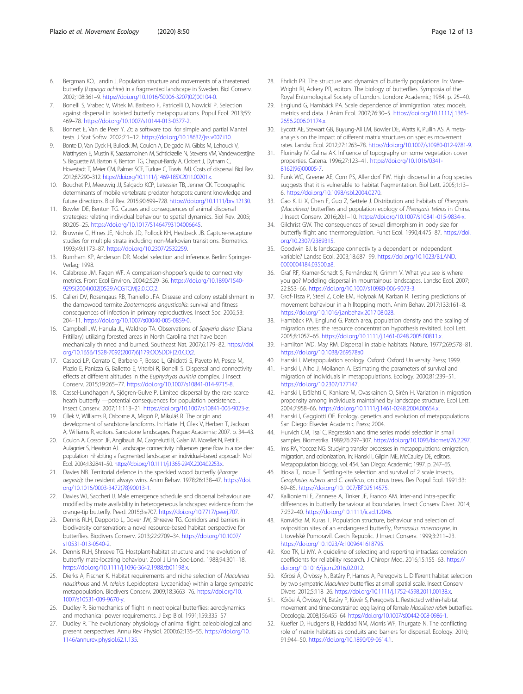- <span id="page-11-0"></span>6. Bergman KO, Landin J. Population structure and movements of a threatened butterfly (Lopinga achine) in a fragmented landscape in Sweden. Biol Conserv. 2002;108:361–9. [https://doi.org/10.1016/S0006-3207\(02\)00104-0.](https://doi.org/10.1016/S0006-3207(02)00104-0)
- 7. Bonelli S, Vrabec V, Witek M, Barbero F, Patricelli D, Nowicki P. Selection against dispersal in isolated butterfly metapopulations. Popul Ecol. 2013;55: 469–78. <https://doi.org/10.1007/s10144-013-0377-2>.
- 8. Bonnet E, Van de Peer Y. Zt: a software tool for simple and partial Mantel tests. J Stat Softw. 2002;7:1–12. [https://doi.org/10.18637/jss.v007.i10.](https://doi.org/10.18637/jss.v007.i10)
- 9. Bonte D, Van Dyck H, Bullock JM, Coulon A, Delgado M, Gibbs M, Lehouck V, Matthysen E, Mustin K, Saastamoinen M, Schtickzelle N, Stevens VM, Vandewoestijne S, Baguette M, Barton K, Benton TG, Chaput-Bardy A, Clobert J, Dytham C, Hovestadt T, Meier CM, Palmer SCF, Turlure C, Travis JMJ. Costs of dispersal. Biol Rev. 2012;87:290-312. https://doi.org/10.1111/j.1469-185X.2011.00201x.
- 10. Bouchet PJ, Meeuwig JJ, Salgado KCP, Letessier TB, Jenner CK. Topographic determinants of mobile vertebrate predator hotspots: current knowledge and future directions. Biol Rev. 2015;90:699–728. [https://doi.org/10.1111/brv.12130.](https://doi.org/10.1111/brv.12130)
- 11. Bowler DE, Benton TG. Causes and consequences of animal dispersal strategies: relating individual behaviour to spatial dynamics. Biol Rev. 2005; 80:205–25. [https://doi.org/10.1017/S1464793104006645.](https://doi.org/10.1017/S1464793104006645)
- 12. Brownie C, Hines JE, Nichols JD, Pollock KH, Hestbeck JB. Capture-recapture studies for multiple strata including non-Markovian transitions. Biometrics. 1993;49:1173–87. [https://doi.org/10.2307/2532259.](https://doi.org/10.2307/2532259)
- 13. Burnham KP, Anderson DR. Model selection and inference. Berlin: Springer-Verlag; 1998.
- 14. Calabrese JM, Fagan WF. A comparison-shopper's guide to connectivity metrics. Front Ecol Environ. 2004;2:529–36. [https://doi.org/10.1890/1540-](https://doi.org/10.1890/1540-9295(2004)002[0529:ACGTCM]2.0.CO;2) [9295\(2004\)002\[0529:ACGTCM\]2.0.CO;2](https://doi.org/10.1890/1540-9295(2004)002[0529:ACGTCM]2.0.CO;2).
- 15. Calleri DV, Rosengaus RB, Traniello JFA. Disease and colony establishment in the dampwood termite Zootermopsis angusticollis: survival and fitness consequences of infection in primary reproductives. Insect Soc. 2006;53: 204–11. <https://doi.org/10.1007/s00040-005-0859-0>.
- 16. Campbell JW, Hanula JL, Waldrop TA. Observations of Speyeria diana (Diana Fritillary) utilizing forested areas in North Carolina that have been mechanically thinned and burned. Southeast Nat. 2007;6:179–82. [https://doi.](https://doi.org/10.1656/1528-7092(2007)6[179:OOSDDF]2.0.CO;2) [org/10.1656/1528-7092\(2007\)6\[179:OOSDDF\]2.0.CO;2](https://doi.org/10.1656/1528-7092(2007)6[179:OOSDDF]2.0.CO;2).
- 17. Casacci LP, Cerrato C, Barbero F, Bosso L, Ghidotti S, Paveto M, Pesce M, Plazio E, Panizza G, Balletto E, Viterbi R, Bonelli S. Dispersal and connectivity effects at different altitudes in the Euphydryas aurinia complex. J Insect Conserv. 2015;19:265–77. <https://doi.org/10.1007/s10841-014-9715-8>.
- 18. Cassel-Lundhagen A, Sjögren-Gulve P. Limited dispersal by the rare scarce heath butterfly —potential consequences for population persistence. J Insect Conserv. 2007;11:113–21. <https://doi.org/10.1007/s10841-006-9023-z>.
- 19. Cílek V, Williams R, Osborne A, Migoń P, Mikuláš R. The origin and development of sandstone landforms. In: Härtel H, Cílek V, Herben T, Jackson A, Williams R, editors. Sandstone landscapes. Prague: Academia; 2007. p. 34–43.
- 20. Coulon A, Cosson JF, Angibault JM, Cargnelutti B, Galan M, Morellet N, Petit E, Aulagnier S, Hewison AJ. Landscape connectivity influences gene flow in a roe deer population inhabiting a fragmented landscape: an individual–based approach. Mol Ecol. 2004;13:2841–50. <https://doi.org/10.1111/j.1365-294X.2004.02253.x>.
- 21. Davies NB. Territorial defence in the speckled wood butterfly (Pararge aegeria): the resident always wins. Anim Behav. 1978;26:138–47. [https://doi.](https://doi.org/10.1016/0003-3472(78)90013-1) [org/10.1016/0003-3472\(78\)90013-1](https://doi.org/10.1016/0003-3472(78)90013-1).
- 22. Davies WJ, Saccheri IJ. Male emergence schedule and dispersal behaviour are modified by mate availability in heterogeneous landscapes: evidence from the orange-tip butterfly. PeerJ. 2015;3:e707. [https://doi.org/10.7717/peerj.707.](https://doi.org/10.7717/peerj.707)
- 23. Dennis RLH, Dapporto L, Dover JW, Shreeve TG. Corridors and barriers in biodiversity conservation: a novel resource-based habitat perspective for butterflies. Biodivers Conserv. 2013;22:2709–34. [https://doi.org/10.1007/](https://doi.org/10.1007/s10531-013-0540-2) [s10531-013-0540-2.](https://doi.org/10.1007/s10531-013-0540-2)
- 24. Dennis RLH, Shreeve TG. Hostplant-habitat structure and the evolution of butterfly mate-locating behaviour. Zool J Linn Soc-Lond. 1988;94:301–18. <https://doi.org/10.1111/j.1096-3642.1988.tb01198.x>.
- 25. Dierks A, Fischer K. Habitat requirements and niche selection of Maculinea nausithous and M. teleius (Lepidoptera: Lycaenidae) within a large sympatric metapopulation. Biodivers Conserv. 2009;18:3663–76. [https://doi.org/10.](https://doi.org/10.1007/s10531-009-9670-y) [1007/s10531-009-9670-y.](https://doi.org/10.1007/s10531-009-9670-y)
- 26. Dudley R. Biomechanics of flight in neotropical butterflies: aerodynamics and mechanical power requirements. J Exp Biol. 1991;159:335–57.
- 27. Dudley R. The evolutionary physiology of animal flight: paleobiological and present perspectives. Annu Rev Physiol. 2000;62:135–55. [https://doi.org/10.](https://doi.org/10.1146/annurev.physiol.62.1.135) [1146/annurev.physiol.62.1.135](https://doi.org/10.1146/annurev.physiol.62.1.135).
- 28. Ehrlich PR. The structure and dynamics of butterfly populations. In: Vane-Wright RI, Ackery PR, editors. The biology of butterflies. Symposia of the Royal Entomological Society of London. London: Academic; 1984. p. 25–40.
- 29. Englund G, Hambäck PA. Scale dependence of immigration rates: models, metrics and data. J Anim Ecol. 2007;76:30–5. [https://doi.org/10.1111/j.1365-](https://doi.org/10.1111/j.1365-2656.2006.01174.x) [2656.2006.01174.x.](https://doi.org/10.1111/j.1365-2656.2006.01174.x)
- 30. Eycott AE, Stewart GB, Buyung-Ali LM, Bowler DE, Watts K, Pullin AS. A metaanalysis on the impact of different matrix structures on species movement rates. Landsc Ecol. 2012;27:1263–78. <https://doi.org/10.1007/s10980-012-9781-9>.
- 31. Florinsky IV, Galina AK. Influence of topography on some vegetation cover properties. Catena. 1996;27:123–41. [https://doi.org/10.1016/0341-](https://doi.org/10.1016/0341-8162(96)00005-7) [8162\(96\)00005-7](https://doi.org/10.1016/0341-8162(96)00005-7).
- 32. Funk WC, Greene AE, Corn PS, Allendorf FW. High dispersal in a frog species suggests that it is vulnerable to habitat fragmentation. Biol Lett. 2005;1:13– 6. <https://doi.org/10.1098/rsbl.2004.0270>.
- 33. Gao K, Li X, Chen F, Guo Z, Settele J. Distribution and habitats of Phengaris (Maculinea) butterflies and population ecology of Phengaris teleius in China. J Insect Conserv. 2016;20:1–10. <https://doi.org/10.1007/s10841-015-9834-x>.
- 34. Gilchrist GW. The consequences of sexual dimorphism in body size for butterfly flight and thermoregulation. Funct Ecol. 1990;4:475–87. [https://doi.](https://doi.org/10.2307/2389315) [org/10.2307/2389315.](https://doi.org/10.2307/2389315)
- 35. Goodwin BJ. Is landscape connectivity a dependent or independent variable? Landsc Ecol. 2003;18:687–99. [https://doi.org/10.1023/B:LAND.](https://doi.org/10.1023/B:LAND.0000004184.03500.a8) [0000004184.03500.a8.](https://doi.org/10.1023/B:LAND.0000004184.03500.a8)
- 36. Graf RF, Kramer-Schadt S, Fernández N, Grimm V. What you see is where you go? Modeling dispersal in mountainous landscapes. Landsc Ecol. 2007; 22:853–66. <https://doi.org/10.1007/s10980-006-9073-3>.
- 37. Grof-Tisza P, Steel Z, Cole EM, Holyoak M, Karban R. Testing predictions of movement behaviour in a hilltopping moth. Anim Behav. 2017;133:161–8. <https://doi.org/10.1016/j.anbehav.2017.08.028>.
- 38. Hambäck PA, Englund G. Patch area, population density and the scaling of migration rates: the resource concentration hypothesis revisited. Ecol Lett. 2005;8:1057–65. <https://doi.org/10.1111/j.1461-0248.2005.00811.x>.
- 39. Hamilton WD, May RM. Dispersal in stable habitats. Nature. 1977;269:578–81. <https://doi.org/10.1038/269578a0>.
- 40. Hanski I. Metapopulation ecology. Oxford: Oxford University Press; 1999.
- 41. Hanski I, Alho J, Moilanen A. Estimating the parameters of survival and migration of individuals in metapopulations. Ecology. 2000;81:239–51. <https://doi.org/10.2307/177147>.
- 42. Hanski I, Erälahti C, Kankare M, Ovaskainen O, Sirén H. Variation in migration propensity among individuals maintained by landscape structure. Ecol Lett. 2004;7:958–66. [https://doi.org/10.1111/j.1461-0248.2004.00654.x.](https://doi.org/10.1111/j.1461-0248.2004.00654.x)
- 43. Hanski I, Gaggiotti OE. Ecology, genetics and evolution of metapopulations. San Diego: Elsevier Academic Press; 2004.
- 44. Hurvich CM, Tsai C. Regression and time series model selection in small samples. Biometrika. 1989;76:297–307. <https://doi.org/10.1093/biomet/76.2.297>.
- 45. Ims RA, Yoccoz NG. Studying transfer processes in metapopulations: emigration, migration, and colonization. In: Hanski I, Gilpin ME, McCauley DE, editors. Metapopulation biology, vol. 454. San Diego: Academic; 1997. p. 247–65.
- 46. Itioka T, Inoue T. Settling-site selection and survival of 2 scale insects, Ceroplastes rubens and C. ceriferus, on citrus trees. Res Popul Ecol. 1991;33: 69–85. [https://doi.org/10.1007/BF02514575.](https://doi.org/10.1007/BF02514575)
- 47. Kallioniemi E, Zannese A, Tinker JE, Franco AM. Inter-and intra-specific differences in butterfly behaviour at boundaries. Insect Conserv Diver. 2014; 7:232–40. <https://doi.org/10.1111/icad.12046>.
- 48. Konvička M, Kuras T. Population structure, behaviour and selection of oviposition sites of an endangered butterfly, Parnassius mnemosyne, in Litovelské Pomoravíl. Czech Republic. J Insect Conserv. 1999;3:211–23. [https://doi.org/10.1023/A:1009641618795.](https://doi.org/10.1023/A:1009641618795)
- 49. Koo TK, Li MY. A guideline of selecting and reporting intraclass correlation coefficients for reliability research. J Chiropr Med. 2016;15:155–63. [https://](https://doi.org/10.1016/j.jcm.2016.02.012) [doi.org/10.1016/j.jcm.2016.02.012.](https://doi.org/10.1016/j.jcm.2016.02.012)
- 50. Kőrösi Á, Örvössy N, Batáry P, Harnos A, Peregovits L. Different habitat selection by two sympatric Maculinea butterflies at small spatial scale. Insect Conserv Divers. 2012;5:118–26. [https://doi.org/10.1111/j.1752-4598.2011.00138.x.](https://doi.org/10.1111/j.1752-4598.2011.00138.x)
- 51. Kőrösi Á, Örvössy N, Batáry P, Kövér S, Peregovits L. Restricted within-habitat movement and time-constrained egg laying of female Maculinea rebeli butterflies. Oecologia. 2008;156:455–64. [https://doi.org/10.1007/s00442-008-0986-1.](https://doi.org/10.1007/s00442-008-0986-1)
- 52. Kuefler D, Hudgens B, Haddad NM, Morris WF, Thurgate N. The conflicting role of matrix habitats as conduits and barriers for dispersal. Ecology. 2010; 91:944–50. <https://doi.org/10.1890/09-0614.1>.